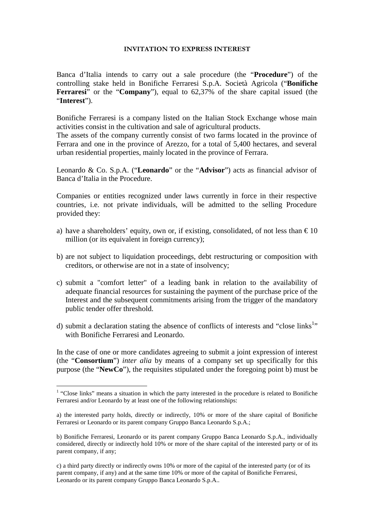## INVITATION TO EXPRESS INTEREST

Banca d'Italia intends to carry out a sale procedure (the "**Procedure**") of the controlling stake held in Bonifiche Ferraresi S.p.A. Società Agricola ("**Bonifiche Ferraresi**" or the "**Company**"), equal to 62,37% of the share capital issued (the "**Interest**").

Bonifiche Ferraresi is a company listed on the Italian Stock Exchange whose main activities consist in the cultivation and sale of agricultural products.

The assets of the company currently consist of two farms located in the province of Ferrara and one in the province of Arezzo, for a total of 5,400 hectares, and several urban residential properties, mainly located in the province of Ferrara.

Leonardo & Co. S.p.A. ("**Leonardo**" or the "**Advisor**") acts as financial advisor of Banca d'Italia in the Procedure.

Companies or entities recognized under laws currently in force in their respective countries, i.e. not private individuals, will be admitted to the selling Procedure provided they:

- a) have a shareholders' equity, own or, if existing, consolidated, of not less than  $\epsilon$  10 million (or its equivalent in foreign currency);
- b) are not subject to liquidation proceedings, debt restructuring or composition with creditors, or otherwise are not in a state of insolvency;
- c) submit a "comfort letter" of a leading bank in relation to the availability of adequate financial resources for sustaining the payment of the purchase price of the Interest and the subsequent commitments arising from the trigger of the mandatory public tender offer threshold.
- d) submit a declaration stating the absence of conflicts of interests and "close links<sup>1</sup>" with Bonifiche Ferraresi and Leonardo.

In the case of one or more candidates agreeing to submit a joint expression of interest (the "**Consortium**") *inter alia* by means of a company set up specifically for this purpose (the "**NewCo**"), the requisites stipulated under the foregoing point b) must be

 $\overline{a}$ 

 $<sup>1</sup>$  "Close links" means a situation in which the party interested in the procedure is related to Bonifiche</sup> Ferraresi and/or Leonardo by at least one of the following relationships:

a) the interested party holds, directly or indirectly, 10% or more of the share capital of Bonifiche Ferraresi or Leonardo or its parent company Gruppo Banca Leonardo S.p.A.;

b) Bonifiche Ferraresi, Leonardo or its parent company Gruppo Banca Leonardo S.p.A., individually considered, directly or indirectly hold 10% or more of the share capital of the interested party or of its parent company, if any;

c) a third party directly or indirectly owns 10% or more of the capital of the interested party (or of its parent company, if any) and at the same time 10% or more of the capital of Bonifiche Ferraresi, Leonardo or its parent company Gruppo Banca Leonardo S.p.A..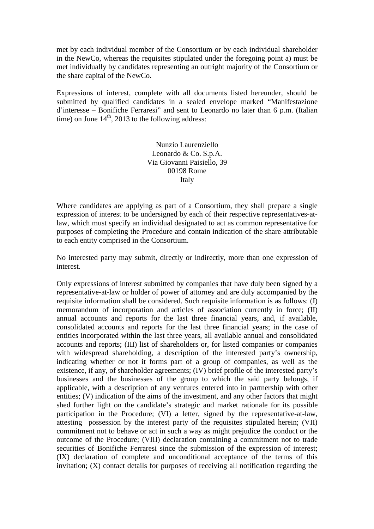met by each individual member of the Consortium or by each individual shareholder in the NewCo, whereas the requisites stipulated under the foregoing point a) must be met individually by candidates representing an outright majority of the Consortium or the share capital of the NewCo.

Expressions of interest, complete with all documents listed hereunder, should be submitted by qualified candidates in a sealed envelope marked "Manifestazione d'interesse – Bonifiche Ferraresi" and sent to Leonardo no later than 6 p.m. (Italian time) on June  $14<sup>th</sup>$ , 2013 to the following address:

> Nunzio Laurenziello Leonardo & Co. S.p.A. Via Giovanni Paisiello, 39 00198 Rome Italy

Where candidates are applying as part of a Consortium, they shall prepare a single expression of interest to be undersigned by each of their respective representatives-atlaw, which must specify an individual designated to act as common representative for purposes of completing the Procedure and contain indication of the share attributable to each entity comprised in the Consortium.

No interested party may submit, directly or indirectly, more than one expression of interest.

Only expressions of interest submitted by companies that have duly been signed by a representative-at-law or holder of power of attorney and are duly accompanied by the requisite information shall be considered. Such requisite information is as follows: (I) memorandum of incorporation and articles of association currently in force; (II) annual accounts and reports for the last three financial years, and, if available, consolidated accounts and reports for the last three financial years; in the case of entities incorporated within the last three years, all available annual and consolidated accounts and reports; (III) list of shareholders or, for listed companies or companies with widespread shareholding, a description of the interested party's ownership, indicating whether or not it forms part of a group of companies, as well as the existence, if any, of shareholder agreements; (IV) brief profile of the interested party's businesses and the businesses of the group to which the said party belongs, if applicable, with a description of any ventures entered into in partnership with other entities; (V) indication of the aims of the investment, and any other factors that might shed further light on the candidate's strategic and market rationale for its possible participation in the Procedure; (VI) a letter, signed by the representative-at-law, attesting possession by the interest party of the requisites stipulated herein; (VII) commitment not to behave or act in such a way as might prejudice the conduct or the outcome of the Procedure; (VIII) declaration containing a commitment not to trade securities of Bonifiche Ferraresi since the submission of the expression of interest; (IX) declaration of complete and unconditional acceptance of the terms of this invitation; (X) contact details for purposes of receiving all notification regarding the